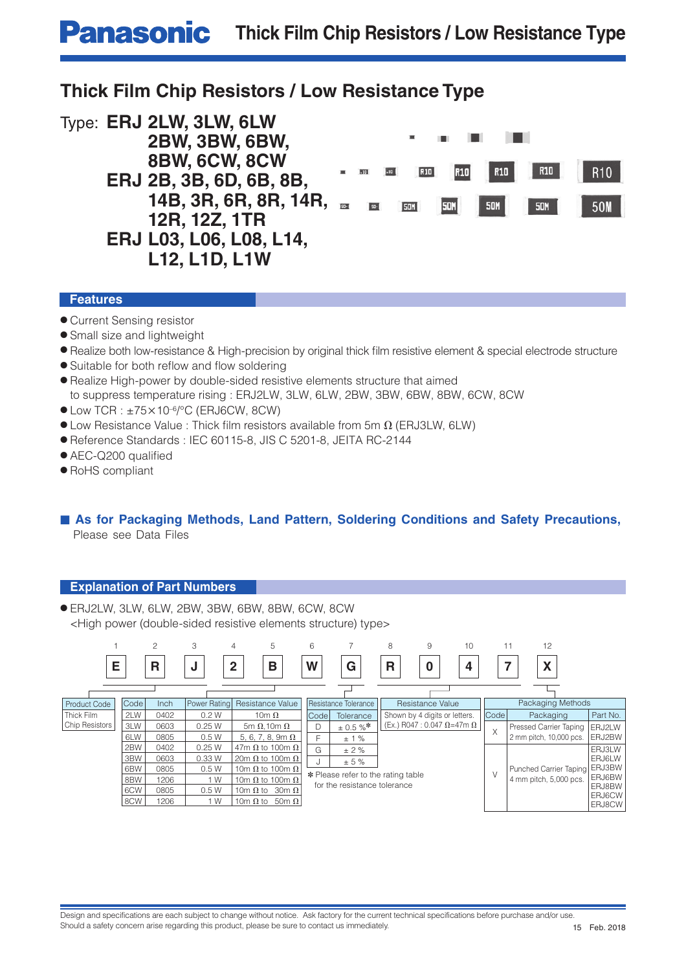# **Panasonic** Thick Film Chip Resistors / Low Resistance Type

# **Thick Film Chip Resistors / Low Resistance Type**



### **Features**

- Current Sensing resistor
- Small size and lightweight
- Realize both low-resistance & High-precision by original thick film resistive element & special electrode structure
- $\bullet$  Suitable for both reflow and flow soldering
- Realize High-power by double-sided resistive elements structure that aimed to suppress temperature rising : ERJ2LW, 3LW, 6LW, 2BW, 3BW, 6BW, 8BW, 6CW, 8CW
- $\bullet$  Low TCR :  $\pm$ 75×10<sup>-6</sup>/°C (ERJ6CW, 8CW)
- $\bullet$  Low Resistance Value : Thick film resistors available from 5m  $\Omega$  (ERJ3LW, 6LW)
- Reference Standards : IEC 60115-8, JIS C 5201-8, JEITA RC-2144
- $\bullet$  AEC-Q200 qualified
- RoHS compliant

# ■ As for Packaging Methods, Land Pattern, Soldering Conditions and Safety Precautions, Please see Data Files

# **Explanation of Part Numbers**

● ERJ2LW, 3LW, 6LW, 2BW, 3BW, 6BW, 8BW, 6CW, 8CW <High power (double-sided resistive elements structure) type>

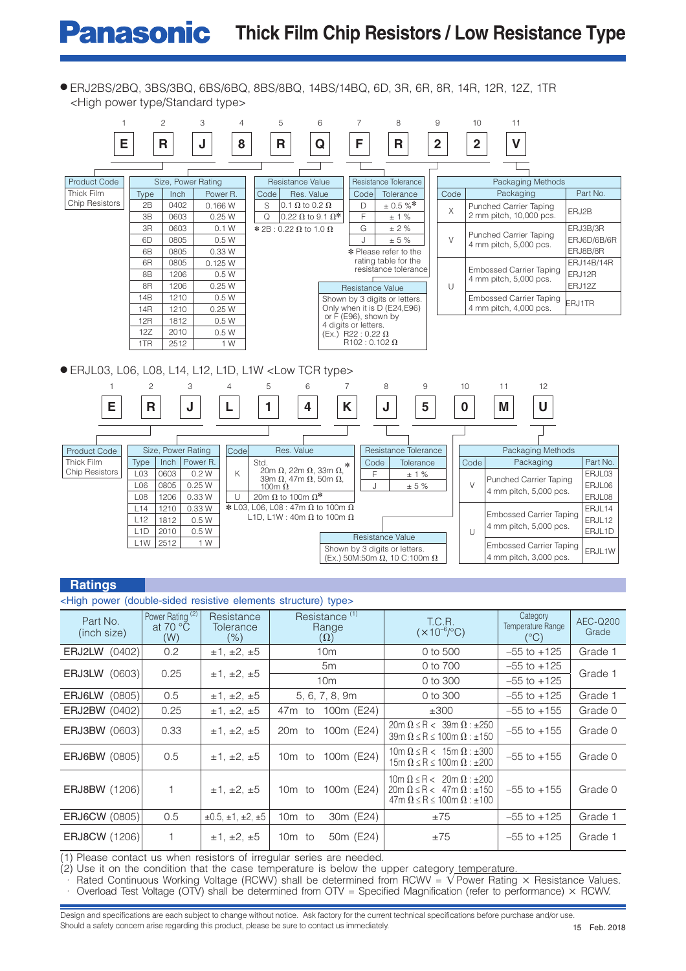# **Panasonic** Thick Film Chip Resistors / Low Resistance Type

● ERJ2BS/2BQ, 3BS/3BQ, 6BS/6BQ, 8BS/8BQ, 14BS/14BQ, 6D, 3R, 6R, 8R, 14R, 12R, 12Z, 1TR <High power type/Standard type>



#### **Ratings**

| <high (double-sided="" elements="" power="" resistive="" structure)="" type=""></high> |  |                                                         |                                           |                                                  |                                                                                                                                    |                                                |                   |
|----------------------------------------------------------------------------------------|--|---------------------------------------------------------|-------------------------------------------|--------------------------------------------------|------------------------------------------------------------------------------------------------------------------------------------|------------------------------------------------|-------------------|
| Part No.<br>(inch size)                                                                |  | Power Rating <sup>(2)</sup><br>at 70 $\degree$ C<br>(W) | Resistance<br><b>Tolerance</b><br>$(\% )$ | Resistance <sup>(1)</sup><br>Range<br>$(\Omega)$ | T.C.R.<br>$(x 10^{-6}/^{\circ}C)$                                                                                                  | Category<br>Temperature Range<br>$(^{\circ}C)$ | AEC-Q200<br>Grade |
| ERJ2LW (0402)                                                                          |  | 0.2                                                     | ±1, ±2, ±5                                | 10 <sub>m</sub>                                  | 0 to 500                                                                                                                           | $-55$ to $+125$                                | Grade 1           |
| <b>ERJ3LW (0603)</b>                                                                   |  | 0.25                                                    | ±1, ±2, ±5                                | 5m                                               | 0 to 700                                                                                                                           | $-55$ to $+125$                                | Grade 1           |
|                                                                                        |  |                                                         |                                           | 10 <sub>m</sub>                                  | 0 to 300                                                                                                                           | $-55$ to $+125$                                |                   |
| <b>ERJ6LW (0805)</b>                                                                   |  | 0.5                                                     | ±1, ±2, ±5                                | 5, 6, 7, 8, 9m                                   | 0 to 300                                                                                                                           | $-55$ to $+125$                                | Grade 1           |
| <b>ERJ2BW (0402)</b>                                                                   |  | 0.25                                                    | ±1, ±2, ±5                                | 47m to<br>100m (E24)                             | ±300                                                                                                                               | $-55$ to $+155$                                | Grade 0           |
| <b>ERJ3BW (0603)</b>                                                                   |  | 0.33                                                    | ±1, ±2, ±5                                | 100m (E24)<br>20m to                             | $20m \Omega \le R < 39m \Omega$ : ±250<br>39m $\Omega \le R \le 100$ m $\Omega$ : ±150                                             | $-55$ to $+155$                                | Grade 0           |
| <b>ERJ6BW</b> (0805)                                                                   |  | 0.5                                                     | ±1, ±2, ±5                                | 100m (E24)<br>10m to                             | $10m \Omega \le R < 15m \Omega$ : ±300<br>15m $\Omega \le R \le 100$ m $\Omega$ : $\pm 200$                                        | $-55$ to $+155$                                | Grade 0           |
| <b>ERJ8BW (1206)</b>                                                                   |  | 1                                                       | ±1, ±2, ±5                                | 100m (E24)<br>10m to                             | $10m \Omega \le R < 20m \Omega$ : $\pm 200$<br>$20m \Omega \le R < 47m \Omega$ : ±150<br>$47m \Omega \le R \le 100m \Omega$ : ±100 | $-55$ to $+155$                                | Grade 0           |
| <b>ERJ6CW (0805)</b>                                                                   |  | 0.5                                                     | $\pm 0.5, \pm 1, \pm 2, \pm 5$            | 10m to<br>30m (E24)                              | ±75                                                                                                                                | $-55$ to $+125$                                | Grade 1           |
| <b>ERJ8CW (1206)</b>                                                                   |  |                                                         | ±1, ±2, ±5                                | $10m$ to<br>50 <sub>m</sub> (E24)                | ±75                                                                                                                                | $-55$ to $+125$                                | Grade 1           |

(1) Please contact us when resistors of irregular series are needed.

 $(2)$  Use it on the condition that the case temperature is below the upper category temperature.

∴ Rated Continuous Working Voltage (RCWV) shall be determined from RCWV = √Power Rating × Resistance Values. Overload Test Voltage (OTV) shall be determined from OTV = Specified Magnification (refer to performance)  $\times$  RCWV.

Design and specifications are each subject to change without notice. Ask factory for the current technical specifications before purchase and/or use. Should a safety concern arise regarding this product, please be sure to contact us immediately.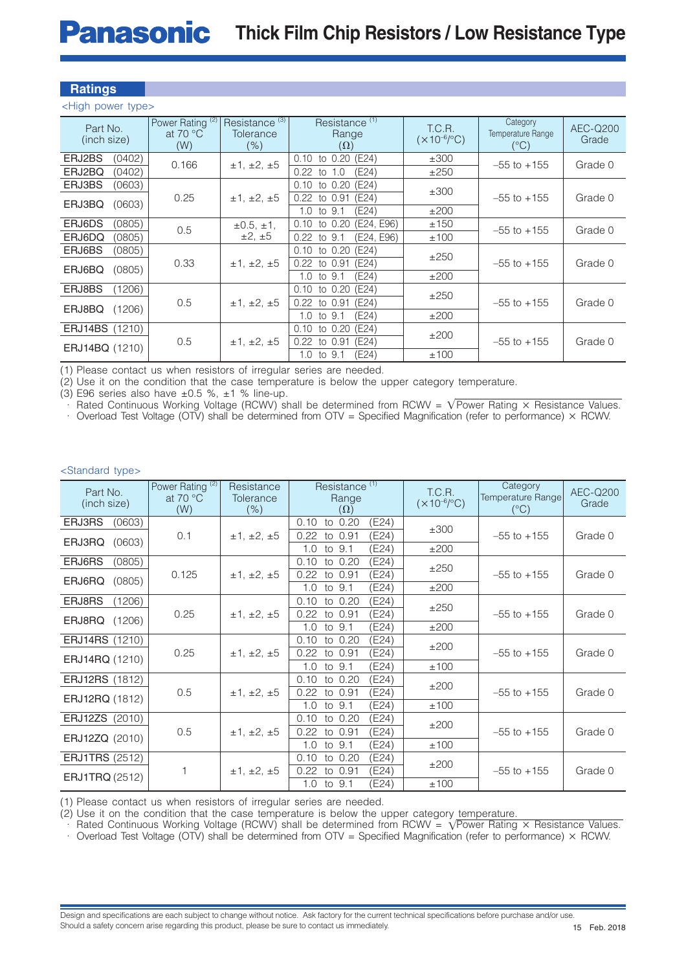### **Ratings**

<High power type>

| Part No.<br>(inch size) |                  | Power Rating <sup>(2)</sup><br>at 70 $\degree$ C<br>(W) | Resistance <sup>(3)</sup><br>Resistance <sup>(1)</sup><br>T.C.R.<br>Tolerance<br>Range<br>$(x 10^{-6}/^{\circ}C)$<br>(% )<br>$(\Omega)$ |                               | Category<br>Temperature Range<br>$(^{\circ}C)$ | AEC-Q200<br>Grade |         |
|-------------------------|------------------|---------------------------------------------------------|-----------------------------------------------------------------------------------------------------------------------------------------|-------------------------------|------------------------------------------------|-------------------|---------|
| ERJ2BS                  | (0402)           | 0.166                                                   | ±1, ±2, ±5                                                                                                                              | $0.10$ to $0.20$ (E24)        | ±300                                           | $-55$ to $+155$   | Grade 0 |
| ERJ2BQ                  | (0402)           |                                                         |                                                                                                                                         | (E24)<br>$0.22$ to<br>1.0     | ±250                                           |                   |         |
| ERJ3BS                  | (0603)           |                                                         |                                                                                                                                         | (E24)<br>$0.10$ to $0.20$     | ±300                                           |                   |         |
| ERJ3BQ                  | (0603)           | 0.25                                                    | ±1, ±2, ±5                                                                                                                              | (E24)<br>$0.22$ to $0.91$     |                                                | $-55$ to $+155$   | Grade 0 |
|                         |                  |                                                         |                                                                                                                                         | (E24)<br>1.0 to $9.1$         | ±200                                           |                   |         |
| ERJ6DS                  | (0805)           | 0.5                                                     | $\pm 0.5, \pm 1,$                                                                                                                       | (E24, E96)<br>to 0.20<br>0.10 | ±150                                           | $-55$ to $+155$   | Grade 0 |
| ERJ6DQ                  | (0805)           |                                                         | $\pm 2, \pm 5$                                                                                                                          | (E24, E96)<br>0.22<br>to 9.1  | ±100                                           |                   |         |
| ERJ6BS                  | (0805)           |                                                         |                                                                                                                                         | $0.10$ to $0.20$<br>(E24)     | ±250                                           |                   |         |
|                         |                  | 0.33                                                    | ±1, ±2, ±5                                                                                                                              | (E24)<br>$0.22$ to $0.91$     |                                                | $-55$ to $+155$   | Grade 0 |
| ERJ6BQ                  | (0805)           |                                                         |                                                                                                                                         | (E24)<br>1.0 to $9.1$         | ±200                                           |                   |         |
| ERJ8BS                  | (1206)           |                                                         |                                                                                                                                         | $0.10$ to $0.20$<br>(E24)     | ±250                                           |                   |         |
|                         |                  | 0.5                                                     | ±1, ±2, ±5                                                                                                                              | $0.22$ to $0.91$<br>(E24)     |                                                | $-55$ to $+155$   | Grade 0 |
|                         | (1206)<br>ERJ8BQ |                                                         |                                                                                                                                         | (E24)<br>1.0 to $9.1$         | ±200                                           |                   |         |
| <b>ERJ14BS (1210)</b>   |                  |                                                         |                                                                                                                                         | $0.10$ to $0.20$<br>(E24)     |                                                |                   |         |
|                         |                  | 0.5                                                     | ±1, ±2, ±5                                                                                                                              | (E24)<br>0.22<br>to 0.91      | ±200                                           | $-55$ to $+155$   | Grade 0 |
| <b>ERJ14BQ (1210)</b>   |                  |                                                         |                                                                                                                                         | (E24)<br>1.0 to 9.1           | ±100                                           |                   |         |

(1) Please contact us when resistors of irregular series are needed.

(2) Use it on the condition that the case temperature is below the upper category temperature.

(3) E96 series also have  $\pm 0.5$  %,  $\pm 1$  % line-up.

 $\cdot$  Rated Continuous Working Voltage (RCWV) shall be determined from RCWV =  $\sqrt{\text{Power Rating } \times \text{Resistance Values.}}$ 

· Overload Test Voltage (OTV) shall be determined from OTV = Specified Magnification (refer to performance) × RCWV.

#### <Standard type>

|                       | Power Rating <sup>(2)</sup> | Resistance | Resistance <sup>(1)</sup>   |                         | Category          |          |
|-----------------------|-----------------------------|------------|-----------------------------|-------------------------|-------------------|----------|
| Part No.              | at 70 $\degree$ C           | Tolerance  | Range                       | T.C.R.                  | Temperature Range | AEC-Q200 |
| (inch size)           | (W)                         | $(\% )$    | $(\Omega)$                  | $(x 10^{-6}/^{\circ}C)$ | $(^{\circ}C)$     | Grade    |
| (0603)<br>ERJ3RS      |                             |            | 0.10<br>to<br>0.20<br>(E24) |                         |                   |          |
|                       | 0.1                         | ±1, ±2, ±5 | to 0.91<br>(E24)<br>0.22    | ±300                    | $-55$ to $+155$   | Grade 0  |
| ERJ3RQ<br>(0603)      |                             |            | 9.1<br>(E24)<br>1.0<br>to   | ±200                    |                   |          |
| ERJ6RS<br>(0805)      |                             |            | 0.10<br>0.20<br>(E24)<br>to |                         |                   |          |
|                       | 0.125                       | ±1, ±2, ±5 | 0.22<br>0.91<br>(E24)<br>to | ±250                    | $-55$ to $+155$   | Grade 0  |
| (0805)<br>ERJ6RQ      |                             |            | 1.0<br>to 9.1<br>(E24)      | ±200                    |                   |          |
| ERJ8RS<br>(1206)      |                             |            | 0.10<br>(E24)<br>to 0.20    | ±250                    |                   |          |
| ERJ8RQ<br>(1206)      | 0.25                        | ±1, ±2, ±5 | (E24)<br>0.22<br>0.91<br>to |                         | $-55$ to $+155$   | Grade 0  |
|                       |                             |            | (E24)<br>1.0<br>to 9.1      | ±200                    |                   |          |
| <b>ERJ14RS (1210)</b> |                             |            | 0.10<br>to 0.20<br>(E24)    | ±200                    |                   |          |
| <b>ERJ14RQ (1210)</b> | 0.25                        | ±1, ±2, ±5 | 0.22<br>(E24)<br>to 0.91    |                         | $-55$ to $+155$   | Grade 0  |
|                       |                             |            | to 9.1<br>(E24)<br>1.0      | ±100                    |                   |          |
| ERJ12RS (1812)        |                             |            | 0.10<br>to 0.20<br>(E24)    | ±200                    |                   |          |
| ERJ12RQ (1812)        | 0.5                         | ±1, ±2, ±5 | 0.22<br>(E24)<br>to 0.91    |                         | $-55$ to $+155$   | Grade 0  |
|                       |                             |            | 9.1<br>(E24)<br>1.0<br>to   | ±100                    |                   |          |
| ERJ12ZS (2010)        |                             |            | 0.10<br>to 0.20<br>(E24)    | ±200                    |                   |          |
| ERJ12ZQ (2010)        | 0.5                         | ±1, ±2, ±5 | 0.22<br>0.91<br>(E24)<br>to |                         | $-55$ to $+155$   | Grade 0  |
|                       |                             |            | to 9.1<br>(E24)<br>1.0      | ±100                    |                   |          |
| <b>ERJ1TRS (2512)</b> |                             |            | (E24)<br>0.10<br>0.20<br>to | ±200                    |                   |          |
| <b>ERJ1TRQ (2512)</b> |                             | ±1, ±2, ±5 | (E24)<br>0.22<br>0.91<br>to |                         | $-55$ to $+155$   | Grade 0  |
|                       |                             |            | 1.0<br>to 9.1<br>(E24)      | ±100                    |                   |          |

(1) Please contact us when resistors of irregular series are needed.

(2) Use it on the condition that the case temperature is below the upper category temperature.

 $\cdot$  Rated Continuous Working Voltage (RCWV) shall be determined from RCWV =  $\sqrt{P}$ ower Rating  $\times$  Resistance Values.

 $\cdot$  Overload Test Voltage (OTV) shall be determined from OTV = Specified Magnification (refer to performance)  $\times$  RCWV.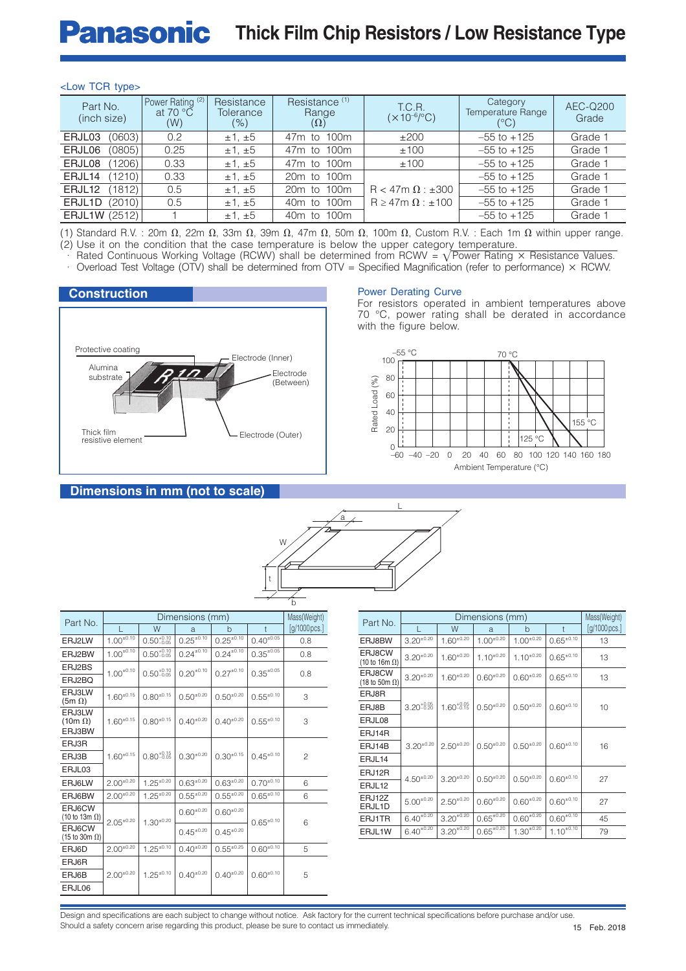# **Panasonic** Thick Film Chip Resistors / Low Resistance Type

#### <Low TCR type>

| Part No.<br>(inch size) |        | Power Rating <sup>(2)</sup><br>at 70 $\degree$ C<br>(W) | Resistance<br><b>Tolerance</b><br>(%) | Resistance <sup>(1)</sup><br>Range<br>$(\Omega)$ | T.C.R.<br>$(x 10^{-6}/^{\circ}C)$ | Category<br><b>Temperature Range</b><br>$(^{\circ}C)$ | AEC-Q200<br>Grade |
|-------------------------|--------|---------------------------------------------------------|---------------------------------------|--------------------------------------------------|-----------------------------------|-------------------------------------------------------|-------------------|
| ERJL03                  | (0603) | 0.2                                                     | $\pm 1. \pm 5$                        | 47m to 100m                                      | ±200                              | $-55$ to $+125$                                       | Grade 1           |
| ERJL06                  | (0805) | 0.25                                                    | $\pm 1, \pm 5$                        | 47m to 100m                                      | ±100                              | $-55$ to $+125$                                       | Grade 1           |
| ERJL08                  | (1206) | 0.33                                                    | $\pm 1, \pm 5$                        | 47m to 100m                                      | ±100                              | $-55$ to $+125$                                       | Grade 1           |
| ERJL <sub>14</sub>      | (1210) | 0.33                                                    | $\pm 1, \pm 5$                        | 20m to 100m                                      |                                   | $-55$ to $+125$                                       | Grade 1           |
| ERJL <sub>12</sub>      | (1812) | 0.5                                                     | $\pm 1, \pm 5$                        | 20m to 100m                                      | $R < 47m \Omega : \pm 300$        | $-55$ to $+125$                                       | Grade 1           |
| ERJL1D                  | (2010) | 0.5                                                     | $\pm 1, \pm 5$                        | 40m to 100m                                      | $R \geq 47$ m $\Omega$ : ±100     | $-55$ to $+125$                                       | Grade 1           |
| ERJL1W (2512)           |        |                                                         | $\pm 1, \pm 5$                        | 40m to 100m                                      |                                   | $-55$ to $+125$                                       | Grade 1           |

(1) Standard R.V. : 20m  $\Omega$ , 22m  $\Omega$ , 33m  $\Omega$ , 39m  $\Omega$ , 47m  $\Omega$ , 50m  $\Omega$ , 100m  $\Omega$ , Custom R.V. : Each 1m  $\Omega$  within upper range. (2) Use it on the condition that the case temperature is below the upper category temperature.

∴ Rated Continuous Working Voltage (RCWV) shall be determined from RCWV = V Power Rating × Resistance Values.

Overload Test Voltage (OTV) shall be determined from OTV = Specified Magnification (refer to performance)  $\times$  RCWV.



#### **Dimensions in mm (not to scale)**

# a t W L

|                                                 |                  |                        |                   |                   |                   | b             |
|-------------------------------------------------|------------------|------------------------|-------------------|-------------------|-------------------|---------------|
| Part No.                                        |                  |                        | Dimensions (mm)   |                   |                   | Mass(Weight)  |
|                                                 |                  | W                      | a                 | b                 | $\ddagger$        | [g/1000 pcs.] |
| ERJ2LW                                          | $1.00^{+0.10}$   | $0.50^{+0.10}_{-0.05}$ | $0.25^{\pm 0.10}$ | $0.25^{\pm 0.10}$ | $0.40^{\pm 0.05}$ | 0.8           |
| ERJ2BW                                          | $1.00^{+0.10}$   | $0.50_{-0.05}^{+0.10}$ | $0.24^{\pm 0.10}$ | $0.24^{\pm 0.10}$ | $0.35^{\pm 0.05}$ | 0.8           |
| ERJ2BS                                          | $1.00^{\pm0.10}$ | $0.50^{+0.10}_{-0.05}$ | $0.20^{\pm0.10}$  | $0.27^{\pm0.10}$  | $0.35^{\pm0.05}$  | 0.8           |
| ERJ2BO                                          |                  |                        |                   |                   |                   |               |
| ERJ3LW<br>$(5m \Omega)$                         | $1.60^{+0.15}$   | $0.80^{+0.15}$         | $0.50^{+0.20}$    | $0.50^{\pm0.20}$  | $0.55^{+0.10}$    | 3             |
| ERJ3LW<br>$(10m \Omega)$<br>ERJ3BW              | $1.60^{+0.15}$   | $0.80^{+0.15}$         | $0.40^{+0.20}$    | $0.40^{+0.20}$    | $0.55^{+0.10}$    | 3             |
| ERJ3R                                           |                  |                        |                   |                   |                   |               |
| ERJ3B                                           | $1.60^{+0.15}$   | $0.80^{+0.15}_{-0.05}$ | $0.30^{+0.20}$    | $0.30^{+0.15}$    | $0.45^{\pm0.10}$  | 2             |
| ERJL03                                          |                  |                        |                   |                   |                   |               |
| <b>ERJ6LW</b>                                   | $2.00^{+0.20}$   | $1.25^{+0.20}$         | $0.63^{+0.20}$    | $0.63^{+0.20}$    | $0.70^{+0.10}$    | 6             |
| ERJ6BW                                          | $2.00^{\pm0.20}$ | $1.25^{\pm0.20}$       | $0.55^{+0.20}$    | $0.55^{+0.20}$    | $0.65^{+0.10}$    | 6             |
| ERJ6CW<br>(10 to 13m $\Omega$ )                 | $2.05^{\pm0.20}$ | $1.30^{+0.20}$         | $0.60^{+0.20}$    | $0.60^{+0.20}$    | $0.65^{\pm0.10}$  | 6             |
| ERJ6CW<br>$(15 \text{ to } 30 \text{m }\Omega)$ |                  |                        | $0.45^{\pm0.20}$  | $0.45^{\pm0.20}$  |                   |               |
| ERJ6D                                           | $2.00^{+0.20}$   | $1.25^{+0.10}$         | $0.40^{+0.20}$    | $0.55^{\pm0.25}$  | $0.60^{+0.10}$    | 5             |
| ERJ6R                                           |                  |                        |                   |                   |                   |               |
| ERJ6B                                           | $2.00^{+0.20}$   | $1.25^{+0.10}$         | $0.40^{+0.20}$    | $0.40^{+0.20}$    | $0.60^{+0.10}$    | 5             |
| ERJL06                                          |                  |                        |                   |                   |                   |               |

| Part No.                        |                        | Mass(Weight)           |                   |                   |                  |                        |
|---------------------------------|------------------------|------------------------|-------------------|-------------------|------------------|------------------------|
|                                 |                        | W                      | a                 | b                 | t                | $[g/1000 \text{pcs.}]$ |
| ERJ8BW                          | $3.20^{+0.20}$         | $1.60^{+0.20}$         | $1.00^{+0.20}$    | $1.00^{+0.20}$    | $0.65^{\pm0.10}$ | 13                     |
| ERJ8CW<br>(10 to 16m $\Omega$ ) | $3.20^{+0.20}$         | $1.60^{+0.20}$         | $1.10^{+0.20}$    | $1.10^{+0.20}$    | $0.65^{\pm0.10}$ | 13                     |
| ERJ8CW<br>(18 to 50m $\Omega$ ) | $3.20^{+0.20}$         | $1.60^{+0.20}$         | $0.60^{+0.20}$    | $0.60^{+0.20}$    | $0.65^{\pm0.10}$ | 13                     |
| ERJ8R                           |                        |                        |                   |                   |                  |                        |
| ERJ8B                           | $3.20^{+0.05}_{-0.20}$ | $1.60^{+0.05}_{-0.15}$ | $0.50^{+0.20}$    | $0.50^{+0.20}$    | $0.60^{+0.10}$   | 10                     |
| ERJL08                          |                        |                        |                   |                   |                  |                        |
| ERJ14R                          |                        |                        |                   |                   |                  |                        |
| ERJ14B                          | $3.20^{+0.20}$         | $2.50^{+0.20}$         | $0.50^{+0.20}$    | $0.50^{+0.20}$    | $0.60^{+0.10}$   | 16                     |
| ERJL14                          |                        |                        |                   |                   |                  |                        |
| ERJ12R                          | $4.50^{+0.20}$         | $3.20^{+0.20}$         | $0.50^{+0.20}$    | $0.50^{+0.20}$    | $0.60^{+0.10}$   | 27                     |
| ERJL12                          |                        |                        |                   |                   |                  |                        |
| ERJ12Z<br>ERJL1D                | $5.00^{\pm0.20}$       | $2.50^{\pm0.20}$       | $0.60^{\pm0.20}$  | $0.60^{\pm0.20}$  | $0.60^{*0.10}$   | 27                     |
| <b>ERJ1TR</b>                   | $6.40^{\pm 0.20}$      | $3.20^{+0.20}$         | $0.65^{\pm 0.20}$ | $0.60^{\pm 0.20}$ | $0.60^{+0.10}$   | 45                     |
| ERJL1W                          | $6.40^{+0.20}$         | $3.20^{\pm 0.20}$      | $0.65^{+0.20}$    | $1.30^{\pm 0.20}$ | $1.10^{+0.10}$   | 79                     |

Design and specifications are each subject to change without notice. Ask factory for the current technical specifications before purchase and/or use. Should a safety concern arise regarding this product, please be sure to contact us immediately.

# Power Derating Curve

For resistors operated in ambient temperatures above 70 °C, power rating shall be derated in accordance with the figure below.